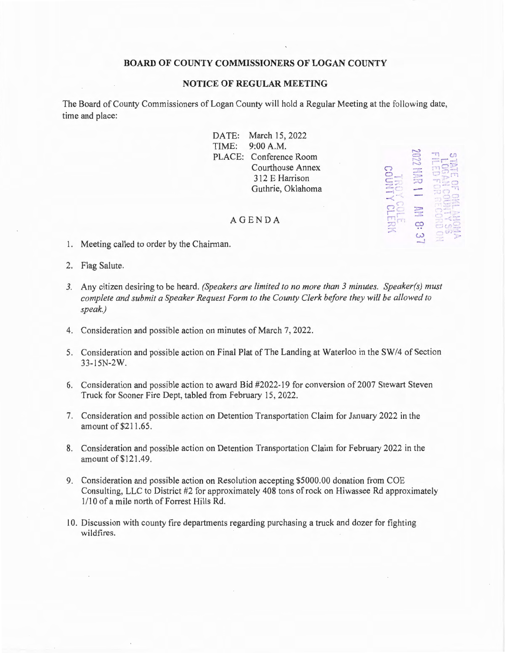## **BOARD OF COUNTY COMMISSIONERS OF LOGAN COUNTY**

## **NOTICE OF REGULAR MEETING**

The Board of County Commissioners of Logan County will hold a Regular Meeting at the following date, time and place:

> DATE: March 15, 2022 TIME: 9:00 A.M. PLACE: Conference Room Courthouse Annex 3 12 E Harrison Guthrie, Oklahoma

*c,*   $\Xi$  $=$  $750$ : **J** *·\_1* ~ l ,..::,.,.. ... \_,. ·-- ~

## AGENDA

- 1. Meeting called to order by the Chairman.
- 2. Flag Salute.
- *3.* Any citizen desiring to be heard. *(Speakers are limited to no more than 3 minutes. Speaker(s) must complete and submit a Speaker Request Form to the County Clerk before they will be allowed to speak.)*
- 4. Consideration and possible action on minutes of March 7, 2022.
- 5. Consideration and possible action on Final Plat of The Landing at Waterloo in the SW /4 of Section 33-15N-2W.
- 6. Consideration and possible action to award Bid #2022-19 for conversion of 2007 Stewatt Steven Truck for Sooner Fire Dept, tabled from February 15, 2022.
- 7. Consideration and possible action on Detention Transportation Claim for January 2022 in the amount of \$211.65.
- 8. Consideration and possible action on Detention Transportation Claim for February 2022 in the amount of \$121.49.
- 9. Consideration and possible action on Resolution accepting \$5000.00 donation from COE Consulting, LLC to District #2 for approximately 408 tons of rock on Hiwassee Rd approximately 1/10 of a mile north of Forrest Hills Rd.
- 10. Discussion with county fire departments regarding purchasing a truck and dozer for fighting wildfires.